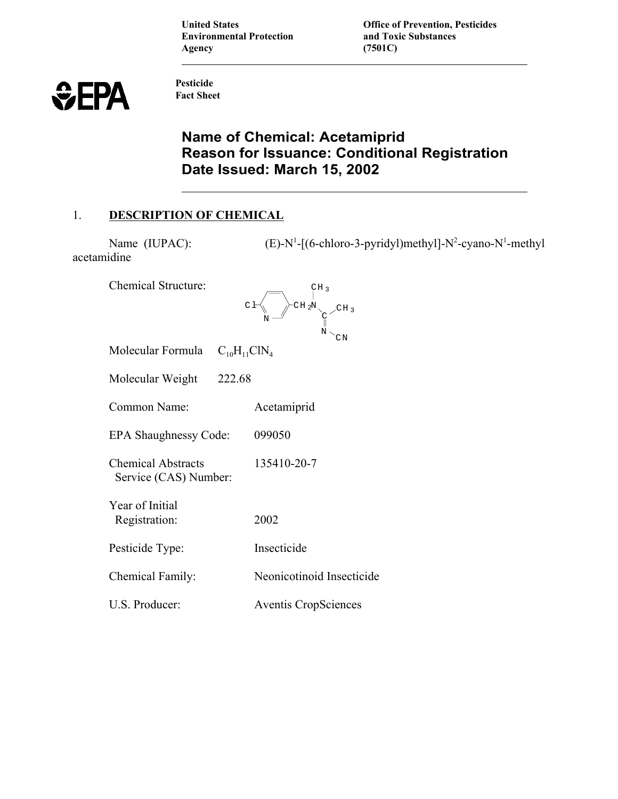**Environmental Protection Agency (7501C)**

**United States Office of Prevention, Pesticides**<br> **Environmental Protection**<br> **Comparent Artical Substances** 

 $-[ (6\text{-chloro-3-pyridyl})\text{methyl}]-N^2\text{-cyan-}N^1\text{-methyl}$ 

$$
\textcolor{red}{\text{\large\#} \in \texttt{P}\texttt{A}}
$$

**Pesticide Fact Sheet** 

# **Name of Chemical: Acetamiprid Reason for Issuance: Conditional Registration Date Issued: March 15, 2002**

 $\begin{bmatrix} CH & 3 \\ 1 & 3 \end{bmatrix}$ 

# 1. **DESCRIPTION OF CHEMICAL**

Name (IUPAC): acetamidine

Chemical Structure:

|                                                    |                     | $C$ $\vdash$<br>$C$ H <sub>2</sub> N $C$ <sub>I</sub><br>CΝ |
|----------------------------------------------------|---------------------|-------------------------------------------------------------|
| Molecular Formula                                  | $C_{10}H_{11}CIN_4$ |                                                             |
| Molecular Weight 222.68                            |                     |                                                             |
| Common Name:                                       |                     | Acetamiprid                                                 |
| EPA Shaughnessy Code:                              |                     | 099050                                                      |
| <b>Chemical Abstracts</b><br>Service (CAS) Number: |                     | 135410-20-7                                                 |
| Year of Initial<br>Registration:                   |                     | 2002                                                        |
| Pesticide Type:                                    |                     | Insecticide                                                 |
| Chemical Family:                                   |                     | Neonicotinoid Insecticide                                   |
| U.S. Producer:                                     |                     | <b>Aventis CropSciences</b>                                 |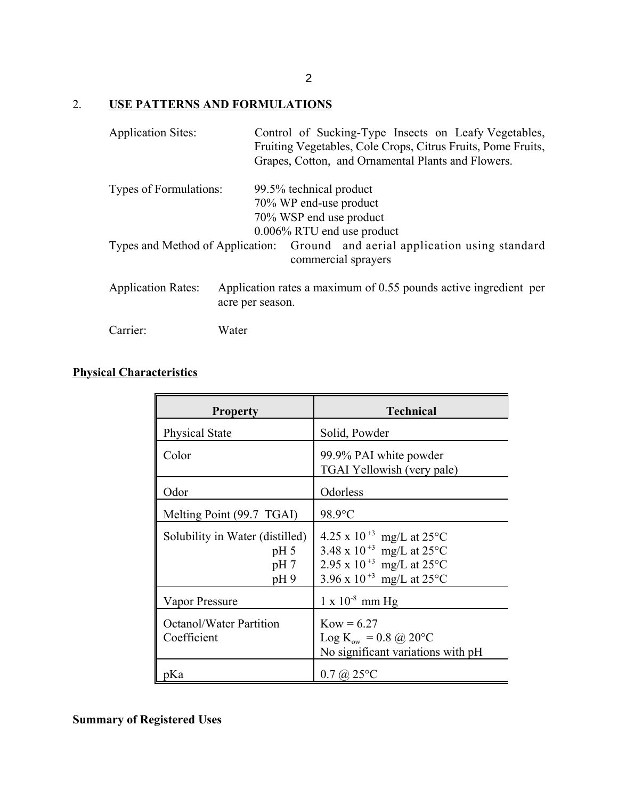# 2. **USE PATTERNS AND FORMULATIONS**

| <b>Application Sites:</b>     | Control of Sucking-Type Insects on Leafy Vegetables,<br>Fruiting Vegetables, Cole Crops, Citrus Fruits, Pome Fruits,<br>Grapes, Cotton, and Ornamental Plants and Flowers. |
|-------------------------------|----------------------------------------------------------------------------------------------------------------------------------------------------------------------------|
| <b>Types of Formulations:</b> | 99.5% technical product                                                                                                                                                    |
|                               | 70% WP end-use product                                                                                                                                                     |
|                               | 70% WSP end use product                                                                                                                                                    |
|                               | $0.006\%$ RTU end use product                                                                                                                                              |
|                               | Types and Method of Application: Ground and aerial application using standard<br>commercial sprayers                                                                       |
| <b>Application Rates:</b>     | Application rates a maximum of 0.55 pounds active ingredient per<br>acre per season.                                                                                       |
| Carrier:                      | Water                                                                                                                                                                      |

# **Physical Characteristics**

| <b>Property</b>                                                              | <b>Technical</b>                                                                                                                                                                                         |
|------------------------------------------------------------------------------|----------------------------------------------------------------------------------------------------------------------------------------------------------------------------------------------------------|
| Physical State                                                               | Solid, Powder                                                                                                                                                                                            |
| Color                                                                        | 99.9% PAI white powder<br>TGAI Yellowish (very pale)                                                                                                                                                     |
| Odor                                                                         | Odorless                                                                                                                                                                                                 |
| Melting Point (99.7 TGAI)                                                    | 98.9°C                                                                                                                                                                                                   |
| Solubility in Water (distilled)<br>pH <sub>5</sub><br>pH <sub>7</sub><br>pH9 | 4.25 x 10 <sup>+3</sup> mg/L at 25 $^{\circ}$ C<br>3.48 x 10 <sup>+3</sup> mg/L at 25 $^{\circ}$ C<br>2.95 x 10 <sup>+3</sup> mg/L at 25 $^{\circ}$ C<br>3.96 x 10 <sup>+3</sup> mg/L at 25 $^{\circ}$ C |
| Vapor Pressure                                                               | $1 \times 10^{-8}$ mm Hg                                                                                                                                                                                 |
| <b>Octanol/Water Partition</b><br>Coefficient                                | $Kow = 6.27$<br>Log K <sub>ow</sub> = 0.8 @ 20 °C<br>No significant variations with pH                                                                                                                   |
| pKa                                                                          | $0.7 \ (\omega\ 25^{\circ}\mathrm{C})$                                                                                                                                                                   |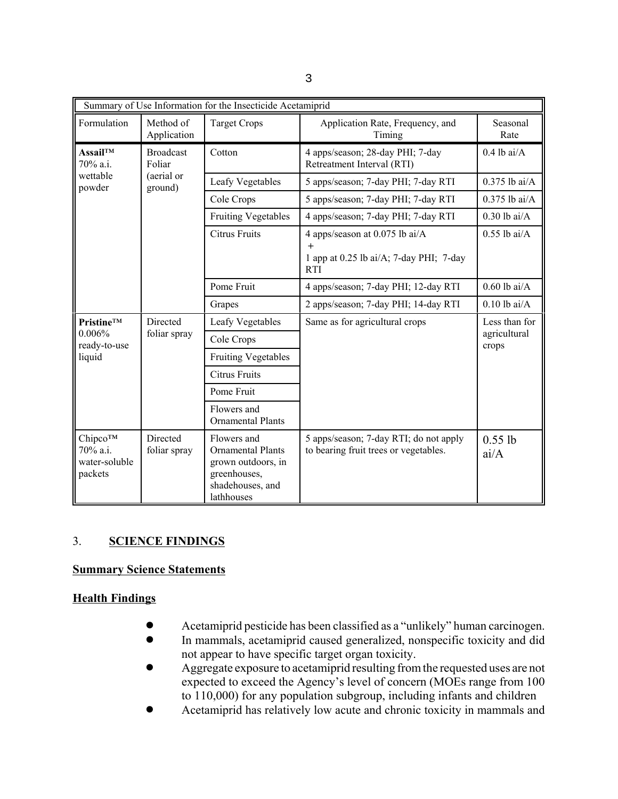| Summary of Use Information for the Insecticide Acetamiprid |                          |                                                                                                                 |                                                                                                |                       |  |
|------------------------------------------------------------|--------------------------|-----------------------------------------------------------------------------------------------------------------|------------------------------------------------------------------------------------------------|-----------------------|--|
| Formulation                                                | Method of<br>Application | <b>Target Crops</b>                                                                                             | Application Rate, Frequency, and<br>Seasonal<br>Timing<br>Rate                                 |                       |  |
| Assail™<br><b>Broadcast</b><br>70% a.i.<br>Foliar          |                          | Cotton                                                                                                          | 4 apps/season; 28-day PHI; 7-day<br>Retreatment Interval (RTI)                                 | $0.4$ lb ai/A         |  |
| wettable<br>powder                                         | (aerial or<br>ground)    | Leafy Vegetables                                                                                                | 5 apps/season; 7-day PHI; 7-day RTI                                                            | $0.375$ lb ai/A       |  |
|                                                            |                          | Cole Crops                                                                                                      | 5 apps/season; 7-day PHI; 7-day RTI                                                            | $0.375$ lb ai/A       |  |
|                                                            |                          | <b>Fruiting Vegetables</b>                                                                                      | 4 apps/season; 7-day PHI; 7-day RTI                                                            | $0.30$ lb ai/A        |  |
|                                                            |                          | <b>Citrus Fruits</b>                                                                                            | 4 apps/season at 0.075 lb ai/A<br>$+$<br>1 app at 0.25 lb ai/A; 7-day PHI; 7-day<br><b>RTI</b> | $0.55$ lb ai/A        |  |
|                                                            |                          | Pome Fruit                                                                                                      | 4 apps/season; 7-day PHI; 12-day RTI                                                           | $0.60$ lb ai/A        |  |
|                                                            |                          | Grapes                                                                                                          | 2 apps/season; 7-day PHI; 14-day RTI                                                           | $0.10$ lb ai/A        |  |
| Directed<br><b>Pristine<sup>TM</sup></b>                   |                          | Leafy Vegetables                                                                                                | Same as for agricultural crops                                                                 | Less than for         |  |
| $0.006\%$<br>ready-to-use                                  | foliar spray             | Cole Crops                                                                                                      |                                                                                                | agricultural<br>crops |  |
| liquid                                                     |                          | <b>Fruiting Vegetables</b>                                                                                      |                                                                                                |                       |  |
|                                                            |                          | <b>Citrus Fruits</b>                                                                                            |                                                                                                |                       |  |
|                                                            |                          | Pome Fruit                                                                                                      |                                                                                                |                       |  |
|                                                            |                          | Flowers and<br><b>Ornamental Plants</b>                                                                         |                                                                                                |                       |  |
| Chipco™<br>70% a.i.<br>water-soluble<br>packets            | Directed<br>foliar spray | Flowers and<br><b>Ornamental Plants</b><br>grown outdoors, in<br>greenhouses,<br>shadehouses, and<br>lathhouses | 5 apps/season; 7-day RTI; do not apply<br>to bearing fruit trees or vegetables.                | $0.55$ lb<br>ai/A     |  |

# 3. **SCIENCE FINDINGS**

### **Summary Science Statements**

## **Health Findings**

- Acetamiprid pesticide has been classified as a "unlikely" human carcinogen.<br>• In mammals, acetaming caused generalized, nonspecific toxicity and did
- In mammals, acetamiprid caused generalized, nonspecific toxicity and did not appear to have specific target organ toxicity.
- Aggregate exposure to acetamiprid resulting from the requested uses are not expected to exceed the Agency's level of concern (MOEs range from 100 to 110,000) for any population subgroup, including infants and children
- ! Acetamiprid has relatively low acute and chronic toxicity in mammals and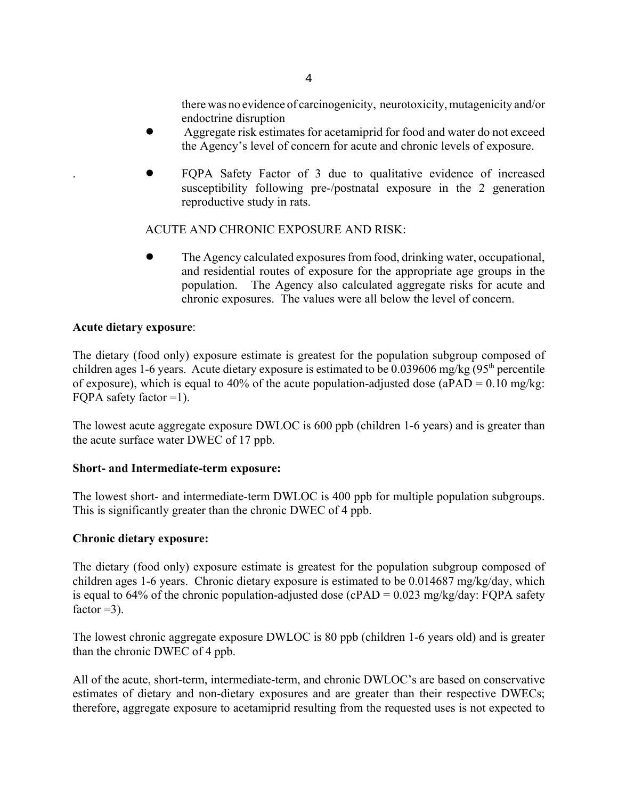there was no evidence of carcinogenicity, neurotoxicity, mutagenicity and/or endoctrine disruption

- ! Aggregate risk estimates for acetamiprid for food and water do not exceed the Agency's level of concern for acute and chronic levels of exposure.
- . ! FQPA Safety Factor of 3 due to qualitative evidence of increased susceptibility following pre-/postnatal exposure in the 2 generation reproductive study in rats.

### ACUTE AND CHRONIC EXPOSURE AND RISK:

! The Agency calculated exposures from food, drinking water, occupational, and residential routes of exposure for the appropriate age groups in the population. The Agency also calculated aggregate risks for acute and chronic exposures. The values were all below the level of concern.

### **Acute dietary exposure**:

The dietary (food only) exposure estimate is greatest for the population subgroup composed of children ages 1-6 years. Acute dietary exposure is estimated to be  $0.039606$  mg/kg  $(95<sup>th</sup>$  percentile of exposure), which is equal to 40% of the acute population-adjusted dose (aPAD =  $0.10$  mg/kg: FQPA safety factor  $=1$ ).

The lowest acute aggregate exposure DWLOC is 600 ppb (children 1-6 years) and is greater than the acute surface water DWEC of 17 ppb.

### **Short- and Intermediate-term exposure:**

The lowest short- and intermediate-term DWLOC is 400 ppb for multiple population subgroups. This is significantly greater than the chronic DWEC of 4 ppb.

### **Chronic dietary exposure:**

The dietary (food only) exposure estimate is greatest for the population subgroup composed of children ages 1-6 years. Chronic dietary exposure is estimated to be 0.014687 mg/kg/day, which is equal to 64% of the chronic population-adjusted dose (cPAD =  $0.023$  mg/kg/day: FQPA safety factor  $=3$ ).

The lowest chronic aggregate exposure DWLOC is 80 ppb (children 1-6 years old) and is greater than the chronic DWEC of 4 ppb.

All of the acute, short-term, intermediate-term, and chronic DWLOC's are based on conservative estimates of dietary and non-dietary exposures and are greater than their respective DWECs; therefore, aggregate exposure to acetamiprid resulting from the requested uses is not expected to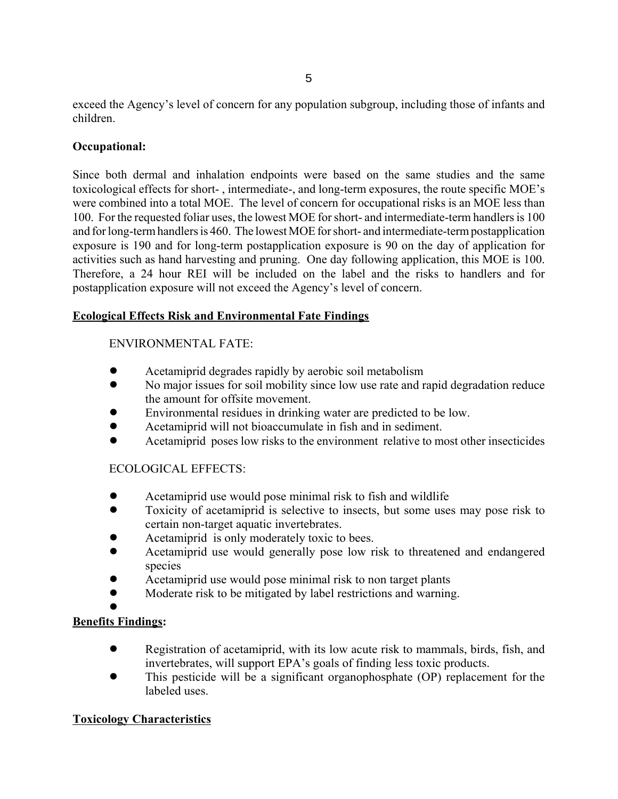exceed the Agency's level of concern for any population subgroup, including those of infants and children.

## **Occupational:**

Since both dermal and inhalation endpoints were based on the same studies and the same toxicological effects for short- , intermediate-, and long-term exposures, the route specific MOE's were combined into a total MOE. The level of concern for occupational risks is an MOE less than 100. For the requested foliar uses, the lowest MOE for short- and intermediate-term handlers is 100 and for long-term handlers is 460. The lowest MOE for short- and intermediate-term postapplication exposure is 190 and for long-term postapplication exposure is 90 on the day of application for activities such as hand harvesting and pruning. One day following application, this MOE is 100. Therefore, a 24 hour REI will be included on the label and the risks to handlers and for postapplication exposure will not exceed the Agency's level of concern.

# **Ecological Effects Risk and Environmental Fate Findings**

# ENVIRONMENTAL FATE:

- Acetamiprid degrades rapidly by aerobic soil metabolism
- No major issues for soil mobility since low use rate and rapid degradation reduce the amount for offsite movement.
- ! Environmental residues in drinking water are predicted to be low.
- ! Acetamiprid will not bioaccumulate in fish and in sediment.
- ! Acetamiprid poses low risks to the environment relative to most other insecticides

## ECOLOGICAL EFFECTS:

- Acetamiprid use would pose minimal risk to fish and wildlife
- Toxicity of acetamiprid is selective to insects, but some uses may pose risk to certain non-target aquatic invertebrates.
- Acetamiprid is only moderately toxic to bees.
- ! Acetamiprid use would generally pose low risk to threatened and endangered species
- Acetamiprid use would pose minimal risk to non target plants
- Moderate risk to be mitigated by label restrictions and warning.

 $\bullet$ 

# **Benefits Findings:**

- Registration of acetamiprid, with its low acute risk to mammals, birds, fish, and invertebrates, will support EPA's goals of finding less toxic products.
- ! This pesticide will be a significant organophosphate (OP) replacement for the labeled uses.

## **Toxicology Characteristics**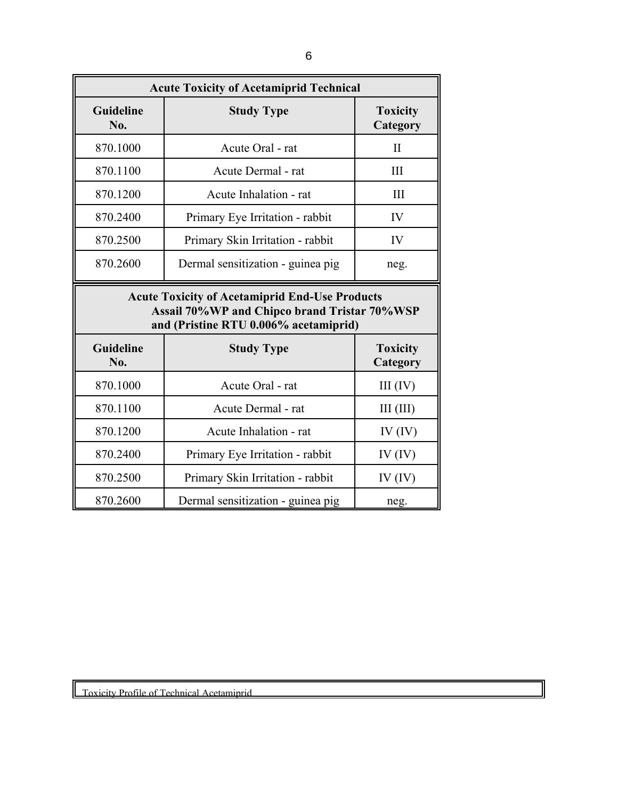| <b>Acute Toxicity of Acetamiprid Technical</b> |                                                                                                                                                |                             |  |  |
|------------------------------------------------|------------------------------------------------------------------------------------------------------------------------------------------------|-----------------------------|--|--|
| <b>Guideline</b><br><b>Study Type</b><br>No.   |                                                                                                                                                | <b>Toxicity</b><br>Category |  |  |
| 870.1000                                       | Acute Oral - rat                                                                                                                               | $\mathbf{I}$                |  |  |
| 870.1100                                       | Acute Dermal - rat                                                                                                                             | III                         |  |  |
| 870.1200                                       | Acute Inhalation - rat                                                                                                                         | III                         |  |  |
| 870.2400                                       | Primary Eye Irritation - rabbit                                                                                                                | IV                          |  |  |
| 870.2500                                       | Primary Skin Irritation - rabbit                                                                                                               | IV                          |  |  |
| 870.2600                                       | Dermal sensitization - guinea pig                                                                                                              |                             |  |  |
|                                                | <b>Acute Toxicity of Acetamiprid End-Use Products</b><br>Assail 70%WP and Chipco brand Tristar 70%WSP<br>and (Pristine RTU 0.006% acetamiprid) |                             |  |  |
| <b>Guideline</b><br>No.                        | <b>Study Type</b><br><b>Toxicity</b><br>Category                                                                                               |                             |  |  |
| 870.1000                                       | Acute Oral - rat                                                                                                                               | III (IV)                    |  |  |
| 870.1100                                       | Acute Dermal - rat                                                                                                                             |                             |  |  |
| 870.1200                                       | Acute Inhalation - rat                                                                                                                         |                             |  |  |
| 870.2400                                       | Primary Eye Irritation - rabbit                                                                                                                | IV $(IV)$                   |  |  |
| 870.2500                                       | Primary Skin Irritation - rabbit                                                                                                               | IV $(IV)$                   |  |  |
| 870.2600                                       | Dermal sensitization - guinea pig                                                                                                              | neg.                        |  |  |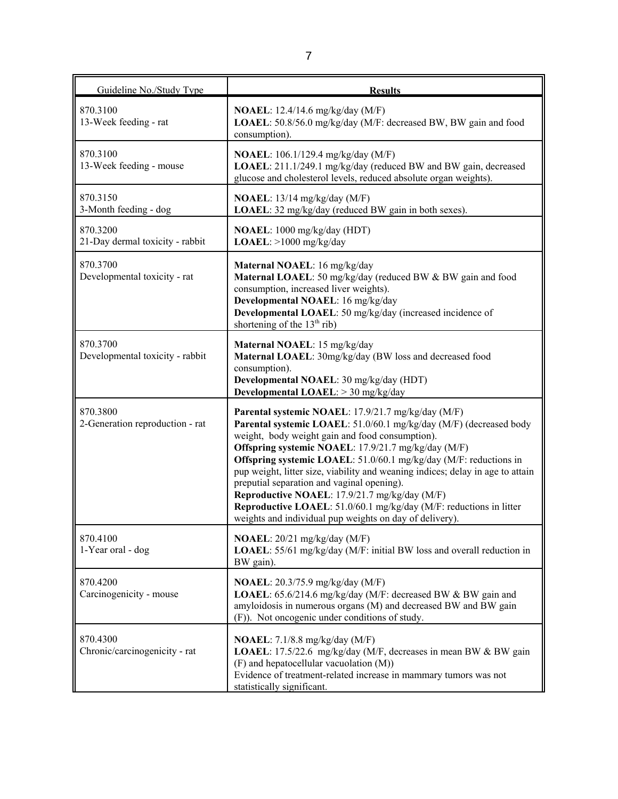| Guideline No./Study Type                    | <b>Results</b>                                                                                                                                                                                                                                                                                                                                                                                                                                                                                                                                                                                                            |
|---------------------------------------------|---------------------------------------------------------------------------------------------------------------------------------------------------------------------------------------------------------------------------------------------------------------------------------------------------------------------------------------------------------------------------------------------------------------------------------------------------------------------------------------------------------------------------------------------------------------------------------------------------------------------------|
| 870.3100<br>13-Week feeding - rat           | <b>NOAEL</b> : 12.4/14.6 mg/kg/day (M/F)<br><b>LOAEL</b> : 50.8/56.0 mg/kg/day (M/F: decreased BW, BW gain and food<br>consumption).                                                                                                                                                                                                                                                                                                                                                                                                                                                                                      |
| 870.3100<br>13-Week feeding - mouse         | <b>NOAEL</b> : 106.1/129.4 mg/kg/day (M/F)<br>LOAEL: 211.1/249.1 mg/kg/day (reduced BW and BW gain, decreased<br>glucose and cholesterol levels, reduced absolute organ weights).                                                                                                                                                                                                                                                                                                                                                                                                                                         |
| 870.3150<br>3-Month feeding - dog           | NOAEL: 13/14 mg/kg/day (M/F)<br><b>LOAEL</b> : 32 mg/kg/day (reduced BW gain in both sexes).                                                                                                                                                                                                                                                                                                                                                                                                                                                                                                                              |
| 870.3200<br>21-Day dermal toxicity - rabbit | NOAEL: 1000 mg/kg/day (HDT)<br>$LOAEL: >1000$ mg/kg/day                                                                                                                                                                                                                                                                                                                                                                                                                                                                                                                                                                   |
| 870.3700<br>Developmental toxicity - rat    | Maternal NOAEL: 16 mg/kg/day<br>Maternal LOAEL: 50 mg/kg/day (reduced BW & BW gain and food<br>consumption, increased liver weights).<br>Developmental NOAEL: 16 mg/kg/day<br>Developmental LOAEL: 50 mg/kg/day (increased incidence of<br>shortening of the $13th$ rib)                                                                                                                                                                                                                                                                                                                                                  |
| 870.3700<br>Developmental toxicity - rabbit | Maternal NOAEL: 15 mg/kg/day<br>Maternal LOAEL: 30mg/kg/day (BW loss and decreased food<br>consumption).<br>Developmental NOAEL: 30 mg/kg/day (HDT)<br>Developmental LOAEL: > 30 mg/kg/day                                                                                                                                                                                                                                                                                                                                                                                                                                |
| 870.3800<br>2-Generation reproduction - rat | Parental systemic NOAEL: 17.9/21.7 mg/kg/day (M/F)<br>Parental systemic LOAEL: 51.0/60.1 mg/kg/day (M/F) (decreased body<br>weight, body weight gain and food consumption).<br>Offspring systemic NOAEL: 17.9/21.7 mg/kg/day (M/F)<br>Offspring systemic LOAEL: 51.0/60.1 mg/kg/day (M/F: reductions in<br>pup weight, litter size, viability and weaning indices; delay in age to attain<br>preputial separation and vaginal opening).<br>Reproductive NOAEL: 17.9/21.7 mg/kg/day (M/F)<br>Reproductive LOAEL: 51.0/60.1 mg/kg/day (M/F: reductions in litter<br>weights and individual pup weights on day of delivery). |
| 870.4100<br>1-Year oral - dog               | NOAEL: 20/21 mg/kg/day (M/F)<br>LOAEL: 55/61 mg/kg/day (M/F: initial BW loss and overall reduction in<br>BW gain).                                                                                                                                                                                                                                                                                                                                                                                                                                                                                                        |
| 870.4200<br>Carcinogenicity - mouse         | <b>NOAEL</b> : 20.3/75.9 mg/kg/day (M/F)<br>LOAEL: 65.6/214.6 mg/kg/day (M/F: decreased BW & BW gain and<br>amyloidosis in numerous organs (M) and decreased BW and BW gain<br>(F)). Not oncogenic under conditions of study.                                                                                                                                                                                                                                                                                                                                                                                             |
| 870.4300<br>Chronic/carcinogenicity - rat   | <b>NOAEL</b> : $7.1/8.8$ mg/kg/day (M/F)<br>LOAEL: 17.5/22.6 mg/kg/day (M/F, decreases in mean BW & BW gain<br>(F) and hepatocellular vacuolation (M))<br>Evidence of treatment-related increase in mammary tumors was not<br>statistically significant.                                                                                                                                                                                                                                                                                                                                                                  |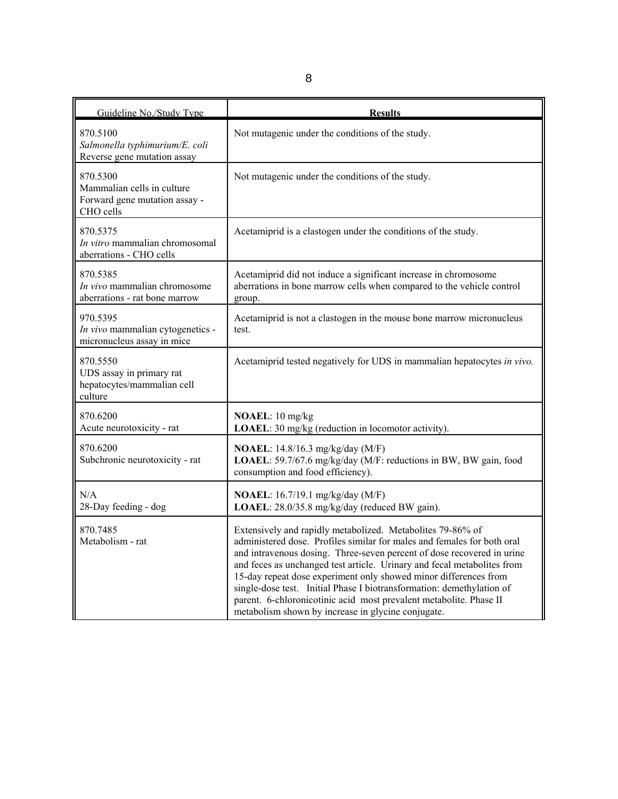| Guideline No./Study Type                                                             | <b>Results</b>                                                                                                                                                                                                                                                                                                                                                                                                                                                                                                                                                      |
|--------------------------------------------------------------------------------------|---------------------------------------------------------------------------------------------------------------------------------------------------------------------------------------------------------------------------------------------------------------------------------------------------------------------------------------------------------------------------------------------------------------------------------------------------------------------------------------------------------------------------------------------------------------------|
| 870.5100<br>Salmonella typhimurium/E. coli<br>Reverse gene mutation assay            | Not mutagenic under the conditions of the study.                                                                                                                                                                                                                                                                                                                                                                                                                                                                                                                    |
| 870.5300<br>Mammalian cells in culture<br>Forward gene mutation assay -<br>CHO cells | Not mutagenic under the conditions of the study.                                                                                                                                                                                                                                                                                                                                                                                                                                                                                                                    |
| 870.5375<br>In vitro mammalian chromosomal<br>aberrations - CHO cells                | Acetamiprid is a clastogen under the conditions of the study.                                                                                                                                                                                                                                                                                                                                                                                                                                                                                                       |
| 870.5385<br>In vivo mammalian chromosome<br>aberrations - rat bone marrow            | Acetamiprid did not induce a significant increase in chromosome<br>aberrations in bone marrow cells when compared to the vehicle control<br>group.                                                                                                                                                                                                                                                                                                                                                                                                                  |
| 970.5395<br>In vivo mammalian cytogenetics -<br>micronucleus assay in mice           | Acetamiprid is not a clastogen in the mouse bone marrow micronucleus<br>test.                                                                                                                                                                                                                                                                                                                                                                                                                                                                                       |
| 870.5550<br>UDS assay in primary rat<br>hepatocytes/mammalian cell<br>culture        | Acetamiprid tested negatively for UDS in mammalian hepatocytes in vivo.                                                                                                                                                                                                                                                                                                                                                                                                                                                                                             |
| 870.6200<br>Acute neurotoxicity - rat                                                | NOAEL: 10 mg/kg<br>LOAEL: 30 mg/kg (reduction in locomotor activity).                                                                                                                                                                                                                                                                                                                                                                                                                                                                                               |
| 870.6200<br>Subchronic neurotoxicity - rat                                           | <b>NOAEL</b> : 14.8/16.3 mg/kg/day (M/F)<br>LOAEL: 59.7/67.6 mg/kg/day (M/F: reductions in BW, BW gain, food<br>consumption and food efficiency).                                                                                                                                                                                                                                                                                                                                                                                                                   |
| N/A<br>28-Day feeding - dog                                                          | <b>NOAEL:</b> 16.7/19.1 mg/kg/day (M/F)<br>LOAEL: 28.0/35.8 mg/kg/day (reduced BW gain).                                                                                                                                                                                                                                                                                                                                                                                                                                                                            |
| 870.7485<br>Metabolism - rat                                                         | Extensively and rapidly metabolized. Metabolites 79-86% of<br>administered dose. Profiles similar for males and females for both oral<br>and intravenous dosing. Three-seven percent of dose recovered in urine<br>and feces as unchanged test article. Urinary and fecal metabolites from<br>15-day repeat dose experiment only showed minor differences from<br>single-dose test. Initial Phase I biotransformation: demethylation of<br>parent. 6-chloronicotinic acid most prevalent metabolite. Phase II<br>metabolism shown by increase in glycine conjugate. |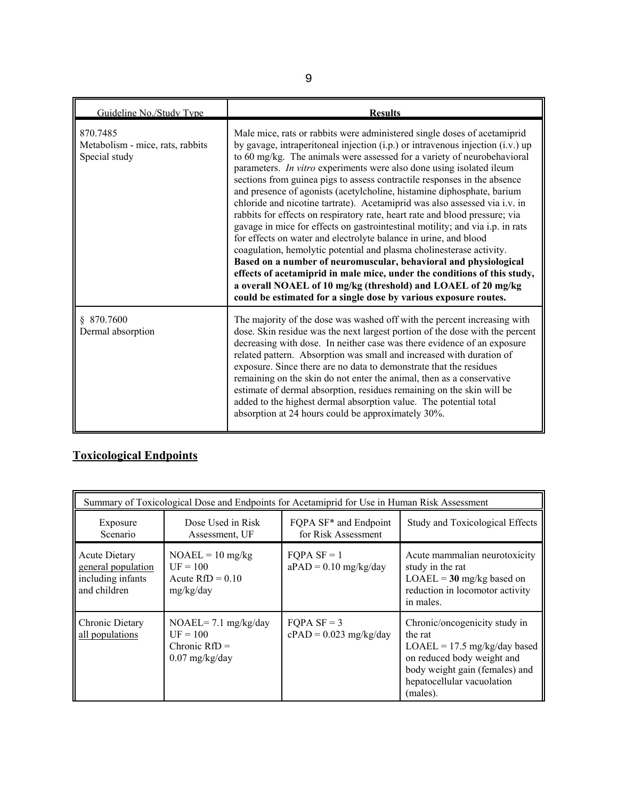| Guideline No./Study Type                                      | <b>Results</b>                                                                                                                                                                                                                                                                                                                                                                                                                                                                                                                                                                                                                                                                                                                                                                                                                                                                                                                                                                                                                                                                                                                                            |
|---------------------------------------------------------------|-----------------------------------------------------------------------------------------------------------------------------------------------------------------------------------------------------------------------------------------------------------------------------------------------------------------------------------------------------------------------------------------------------------------------------------------------------------------------------------------------------------------------------------------------------------------------------------------------------------------------------------------------------------------------------------------------------------------------------------------------------------------------------------------------------------------------------------------------------------------------------------------------------------------------------------------------------------------------------------------------------------------------------------------------------------------------------------------------------------------------------------------------------------|
| 870.7485<br>Metabolism - mice, rats, rabbits<br>Special study | Male mice, rats or rabbits were administered single doses of acetamiprid<br>by gavage, intraperitoneal injection (i.p.) or intravenous injection (i.v.) up<br>to 60 mg/kg. The animals were assessed for a variety of neurobehavioral<br>parameters. <i>In vitro</i> experiments were also done using isolated ileum<br>sections from guinea pigs to assess contractile responses in the absence<br>and presence of agonists (acetylcholine, histamine diphosphate, barium<br>chloride and nicotine tartrate). Acetamiprid was also assessed via i.v. in<br>rabbits for effects on respiratory rate, heart rate and blood pressure; via<br>gavage in mice for effects on gastrointestinal motility; and via i.p. in rats<br>for effects on water and electrolyte balance in urine, and blood<br>coagulation, hemolytic potential and plasma cholinesterase activity.<br>Based on a number of neuromuscular, behavioral and physiological<br>effects of acetamiprid in male mice, under the conditions of this study,<br>a overall NOAEL of 10 mg/kg (threshold) and LOAEL of 20 mg/kg<br>could be estimated for a single dose by various exposure routes. |
| \$870.7600<br>Dermal absorption                               | The majority of the dose was washed off with the percent increasing with<br>dose. Skin residue was the next largest portion of the dose with the percent<br>decreasing with dose. In neither case was there evidence of an exposure<br>related pattern. Absorption was small and increased with duration of<br>exposure. Since there are no data to demonstrate that the residues<br>remaining on the skin do not enter the animal, then as a conservative<br>estimate of dermal absorption, residues remaining on the skin will be<br>added to the highest dermal absorption value. The potential total<br>absorption at 24 hours could be approximately 30%.                                                                                                                                                                                                                                                                                                                                                                                                                                                                                            |

# **Toxicological Endpoints**

| Summary of Toxicological Dose and Endpoints for Acetamiprid for Use in Human Risk Assessment |                                                                              |                                                          |                                                                                                                                                                                      |  |  |
|----------------------------------------------------------------------------------------------|------------------------------------------------------------------------------|----------------------------------------------------------|--------------------------------------------------------------------------------------------------------------------------------------------------------------------------------------|--|--|
| Exposure<br>Scenario                                                                         | Dose Used in Risk<br>Assessment, UF                                          | FQPA SF <sup>*</sup> and Endpoint<br>for Risk Assessment | Study and Toxicological Effects                                                                                                                                                      |  |  |
| <b>Acute Dietary</b><br>general population<br>including infants<br>and children              | $NOAEL = 10$ mg/kg<br>$UF = 100$<br>Acute $RfD = 0.10$<br>mg/kg/day          | $FOPA SF = 1$<br>$aPAD = 0.10$ mg/kg/day                 | Acute mammalian neurotoxicity<br>study in the rat<br>$LOAEL = 30$ mg/kg based on<br>reduction in locomotor activity<br>in males.                                                     |  |  |
| Chronic Dietary<br>all populations                                                           | $NOAEL = 7.1$ mg/kg/day<br>$UF = 100$<br>Chronic $RfD =$<br>$0.07$ mg/kg/day | $FOPA SF = 3$<br>$cPAD = 0.023$ mg/kg/day                | Chronic/oncogenicity study in<br>the rat<br>$LOAEL = 17.5$ mg/kg/day based<br>on reduced body weight and<br>body weight gain (females) and<br>hepatocellular vacuolation<br>(males). |  |  |

9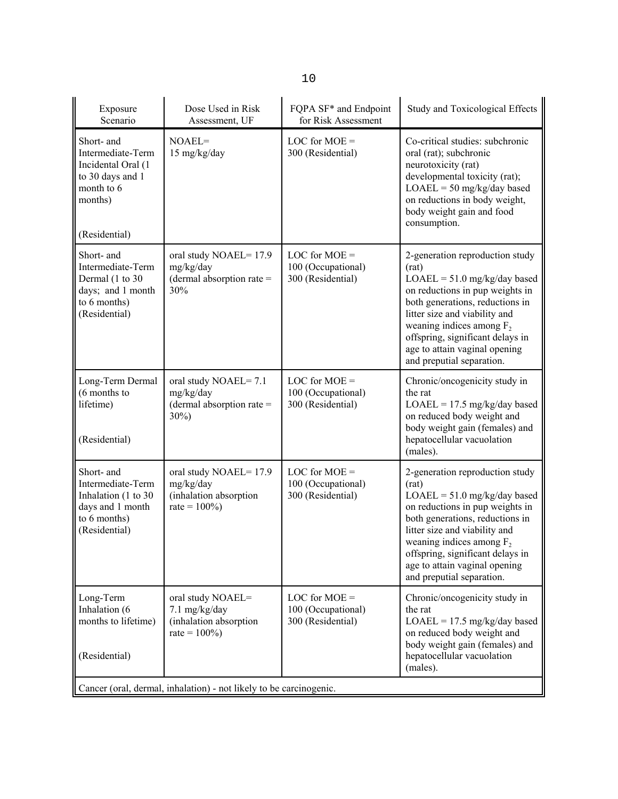| Exposure<br>Scenario                                                                                                | Dose Used in Risk<br>Assessment, UF                                              | FQPA SF <sup>*</sup> and Endpoint<br>for Risk Assessment   | <b>Study and Toxicological Effects</b>                                                                                                                                                                                                                                                                             |  |
|---------------------------------------------------------------------------------------------------------------------|----------------------------------------------------------------------------------|------------------------------------------------------------|--------------------------------------------------------------------------------------------------------------------------------------------------------------------------------------------------------------------------------------------------------------------------------------------------------------------|--|
| Short- and<br>Intermediate-Term<br>Incidental Oral (1<br>to 30 days and 1<br>month to 6<br>months)<br>(Residential) | $NOAEL =$<br>15 mg/kg/day                                                        | LOC for $MOE =$<br>300 (Residential)                       | Co-critical studies: subchronic<br>oral (rat); subchronic<br>neurotoxicity (rat)<br>developmental toxicity (rat);<br>$LOAEL = 50$ mg/kg/day based<br>on reductions in body weight,<br>body weight gain and food<br>consumption.                                                                                    |  |
| Short- and<br>Intermediate-Term<br>Dermal (1 to 30<br>days; and 1 month<br>to 6 months)<br>(Residential)            | oral study NOAEL=17.9<br>mg/kg/day<br>(dermal absorption rate $=$<br>30%         | LOC for $MOE =$<br>100 (Occupational)<br>300 (Residential) | 2-generation reproduction study<br>(rat)<br>$LOAEL = 51.0$ mg/kg/day based<br>on reductions in pup weights in<br>both generations, reductions in<br>litter size and viability and<br>weaning indices among $F_2$<br>offspring, significant delays in<br>age to attain vaginal opening<br>and preputial separation. |  |
| Long-Term Dermal<br>(6 months to<br>lifetime)<br>(Residential)                                                      | oral study NOAEL=7.1<br>mg/kg/day<br>(dermal absorption rate $=$<br>$30\%)$      | LOC for $MOE =$<br>100 (Occupational)<br>300 (Residential) | Chronic/oncogenicity study in<br>the rat<br>$LOAEL = 17.5$ mg/kg/day based<br>on reduced body weight and<br>body weight gain (females) and<br>hepatocellular vacuolation<br>(males).                                                                                                                               |  |
| Short- and<br>Intermediate-Term<br>Inhalation (1 to 30<br>days and 1 month<br>to 6 months)<br>(Residential)         | oral study NOAEL=17.9<br>mg/kg/day<br>(inhalation absorption<br>rate = $100\%$ ) | LOC for $MOE =$<br>100 (Occupational)<br>300 (Residential) | 2-generation reproduction study<br>(rat)<br>$LOAEL = 51.0$ mg/kg/day based<br>on reductions in pup weights in<br>both generations, reductions in<br>litter size and viability and<br>weaning indices among $F_2$<br>offspring, significant delays in<br>age to attain vaginal opening<br>and preputial separation. |  |
| Long-Term<br>Inhalation (6<br>months to lifetime)<br>(Residential)                                                  | oral study NOAEL=<br>7.1 mg/kg/day<br>(inhalation absorption<br>rate = $100\%$ ) | LOC for $MOE =$<br>100 (Occupational)<br>300 (Residential) | Chronic/oncogenicity study in<br>the rat<br>$LOAEL = 17.5$ mg/kg/day based<br>on reduced body weight and<br>body weight gain (females) and<br>hepatocellular vacuolation<br>(males).                                                                                                                               |  |
| Cancer (oral, dermal, inhalation) - not likely to be carcinogenic.                                                  |                                                                                  |                                                            |                                                                                                                                                                                                                                                                                                                    |  |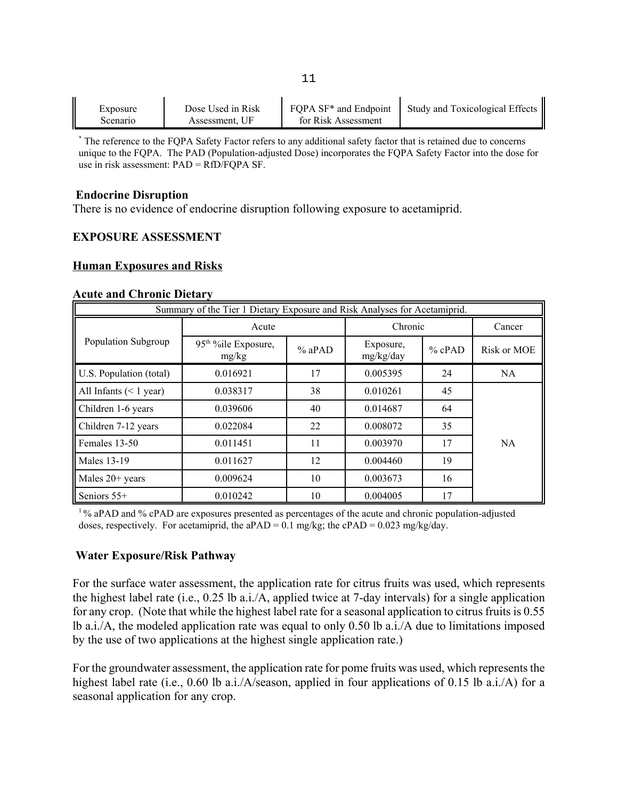|          | Dose Used in Risk |                                   | Study and Toxicological Effects |
|----------|-------------------|-----------------------------------|---------------------------------|
| Exposure |                   | FQPA SF <sup>*</sup> and Endpoint |                                 |
| Scenario | Assessment. UF    | for Risk Assessment               |                                 |

\* The reference to the FQPA Safety Factor refers to any additional safety factor that is retained due to concerns unique to the FQPA. The PAD (Population-adjusted Dose) incorporates the FQPA Safety Factor into the dose for use in risk assessment: PAD = RfD/FQPA SF.

#### **Endocrine Disruption**

There is no evidence of endocrine disruption following exposure to acetamiprid.

#### **EXPOSURE ASSESSMENT**

#### **Human Exposures and Risks**

#### **Acute and Chronic Dietary**

| Summary of the Tier 1 Dietary Exposure and Risk Analyses for Acetamiprid. |                                           |          |                        |          |             |
|---------------------------------------------------------------------------|-------------------------------------------|----------|------------------------|----------|-------------|
|                                                                           | Acute                                     |          | Chronic                |          | Cancer      |
| Population Subgroup                                                       | 95 <sup>th %</sup> ile Exposure,<br>mg/kg | $%$ aPAD | Exposure,<br>mg/kg/day | $%$ cPAD | Risk or MOE |
| U.S. Population (total)                                                   | 0.016921                                  | 17       | 0.005395               | 24       | NA.         |
| All Infants $(< 1$ year)                                                  | 0.038317                                  | 38       | 0.010261               | 45       |             |
| Children 1-6 years                                                        | 0.039606                                  | 40       | 0.014687               | 64       |             |
| Children 7-12 years                                                       | 0.022084                                  | 22       | 0.008072               | 35       |             |
| Females 13-50                                                             | 0.011451                                  | 11       | 0.003970               | 17       | <b>NA</b>   |
| <b>Males 13-19</b>                                                        | 0.011627                                  | 12       | 0.004460               | 19       |             |
| Males $20+$ years                                                         | 0.009624                                  | 10       | 0.003673               | 16       |             |
| Seniors $55+$                                                             | 0.010242                                  | 10       | 0.004005               | 17       |             |

1 % aPAD and % cPAD are exposures presented as percentages of the acute and chronic population-adjusted doses, respectively. For acetamiprid, the aPAD =  $0.1$  mg/kg; the cPAD =  $0.023$  mg/kg/day.

#### **Water Exposure/Risk Pathway**

For the surface water assessment, the application rate for citrus fruits was used, which represents the highest label rate (i.e., 0.25 lb a.i./A, applied twice at 7-day intervals) for a single application for any crop. (Note that while the highest label rate for a seasonal application to citrus fruits is 0.55 lb a.i./A, the modeled application rate was equal to only 0.50 lb a.i./A due to limitations imposed by the use of two applications at the highest single application rate.)

For the groundwater assessment, the application rate for pome fruits was used, which represents the highest label rate (i.e., 0.60 lb a.i./A/season, applied in four applications of 0.15 lb a.i./A) for a seasonal application for any crop.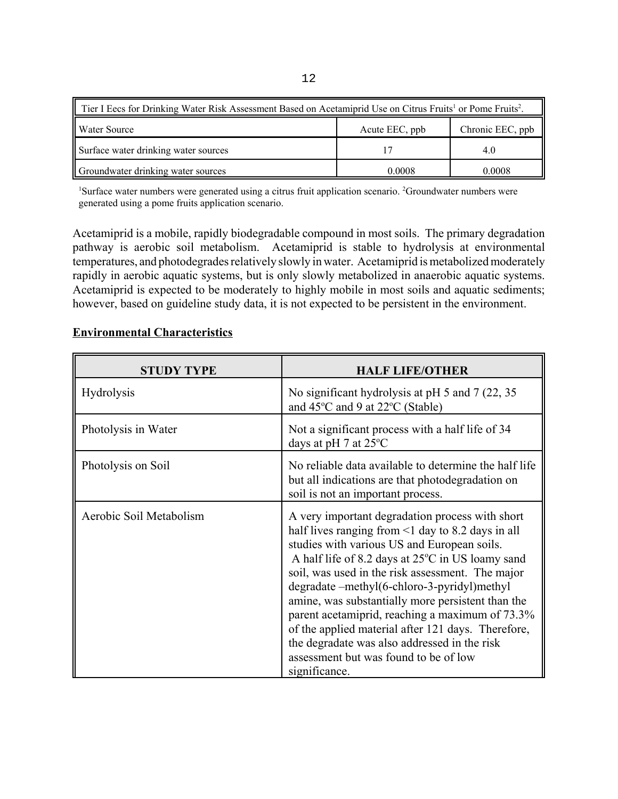| Tier I Eecs for Drinking Water Risk Assessment Based on Acetamiprid Use on Citrus Fruits <sup>1</sup> or Pome Fruits <sup>2</sup> . |                |                  |  |  |
|-------------------------------------------------------------------------------------------------------------------------------------|----------------|------------------|--|--|
| Water Source                                                                                                                        | Acute EEC, ppb | Chronic EEC, ppb |  |  |
| Surface water drinking water sources                                                                                                |                | 4.0              |  |  |
| Groundwater drinking water sources                                                                                                  | 0.0008         | 0.0008           |  |  |

<sup>1</sup>Surface water numbers were generated using a citrus fruit application scenario. <sup>2</sup>Groundwater numbers were generated using a pome fruits application scenario.

Acetamiprid is a mobile, rapidly biodegradable compound in most soils. The primary degradation pathway is aerobic soil metabolism. Acetamiprid is stable to hydrolysis at environmental temperatures, and photodegrades relatively slowly in water. Acetamiprid is metabolized moderately rapidly in aerobic aquatic systems, but is only slowly metabolized in anaerobic aquatic systems. Acetamiprid is expected to be moderately to highly mobile in most soils and aquatic sediments; however, based on guideline study data, it is not expected to be persistent in the environment.

### **Environmental Characteristics**

| <b>STUDY TYPE</b>       | <b>HALF LIFE/OTHER</b>                                                                                                                                                                                                                                                                                                                                                                                                                                                                                                                                                                   |  |
|-------------------------|------------------------------------------------------------------------------------------------------------------------------------------------------------------------------------------------------------------------------------------------------------------------------------------------------------------------------------------------------------------------------------------------------------------------------------------------------------------------------------------------------------------------------------------------------------------------------------------|--|
| <b>Hydrolysis</b>       | No significant hydrolysis at pH 5 and 7 (22, 35)<br>and 45°C and 9 at 22°C (Stable)                                                                                                                                                                                                                                                                                                                                                                                                                                                                                                      |  |
| Photolysis in Water     | Not a significant process with a half life of 34<br>days at pH 7 at $25^{\circ}$ C                                                                                                                                                                                                                                                                                                                                                                                                                                                                                                       |  |
| Photolysis on Soil      | No reliable data available to determine the half life<br>but all indications are that photodegradation on<br>soil is not an important process.                                                                                                                                                                                                                                                                                                                                                                                                                                           |  |
| Aerobic Soil Metabolism | A very important degradation process with short<br>half lives ranging from $\leq 1$ day to 8.2 days in all<br>studies with various US and European soils.<br>A half life of 8.2 days at 25°C in US loamy sand<br>soil, was used in the risk assessment. The major<br>degradate -methyl(6-chloro-3-pyridyl)methyl<br>amine, was substantially more persistent than the<br>parent acetamiprid, reaching a maximum of 73.3%<br>of the applied material after 121 days. Therefore,<br>the degradate was also addressed in the risk<br>assessment but was found to be of low<br>significance. |  |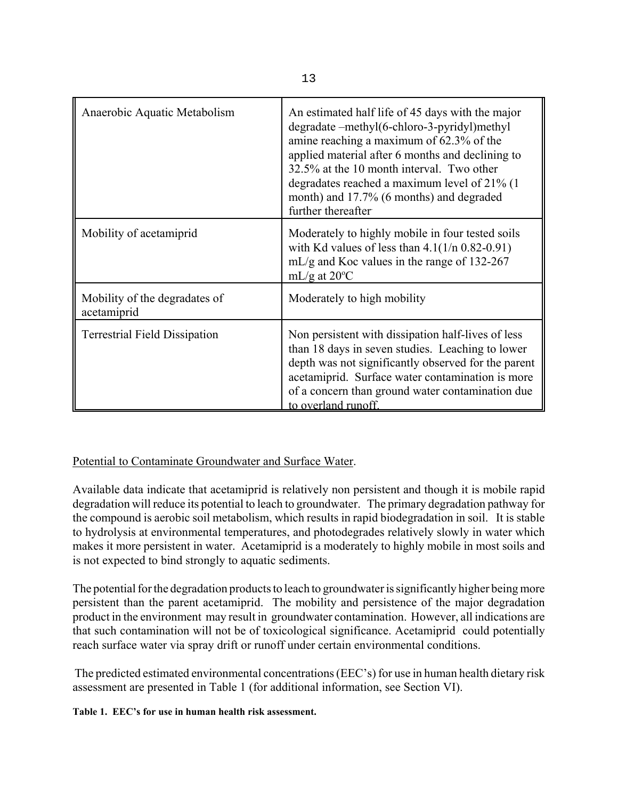| Anaerobic Aquatic Metabolism                 | An estimated half life of 45 days with the major<br>degradate -methyl(6-chloro-3-pyridyl)methyl<br>amine reaching a maximum of 62.3% of the<br>applied material after 6 months and declining to<br>32.5% at the 10 month interval. Two other<br>degradates reached a maximum level of 21% (1)<br>month) and 17.7% (6 months) and degraded<br>further thereafter |
|----------------------------------------------|-----------------------------------------------------------------------------------------------------------------------------------------------------------------------------------------------------------------------------------------------------------------------------------------------------------------------------------------------------------------|
| Mobility of acetamiprid                      | Moderately to highly mobile in four tested soils<br>with Kd values of less than $4.1(1/n)$ 0.82-0.91)<br>mL/g and Koc values in the range of $132-267$<br>mL/g at $20^{\circ}$ C                                                                                                                                                                                |
| Mobility of the degradates of<br>acetamiprid | Moderately to high mobility                                                                                                                                                                                                                                                                                                                                     |
| <b>Terrestrial Field Dissipation</b>         | Non persistent with dissipation half-lives of less<br>than 18 days in seven studies. Leaching to lower<br>depth was not significantly observed for the parent<br>acetamiprid. Surface water contamination is more<br>of a concern than ground water contamination due<br>to overland runoff.                                                                    |

## Potential to Contaminate Groundwater and Surface Water.

Available data indicate that acetamiprid is relatively non persistent and though it is mobile rapid degradation will reduce its potential to leach to groundwater. The primary degradation pathway for the compound is aerobic soil metabolism, which results in rapid biodegradation in soil. It is stable to hydrolysis at environmental temperatures, and photodegrades relatively slowly in water which makes it more persistent in water. Acetamiprid is a moderately to highly mobile in most soils and is not expected to bind strongly to aquatic sediments.

The potential for the degradation products to leach to groundwater is significantly higher being more persistent than the parent acetamiprid. The mobility and persistence of the major degradation product in the environment may result in groundwater contamination. However, all indications are that such contamination will not be of toxicological significance. Acetamiprid could potentially reach surface water via spray drift or runoff under certain environmental conditions.

The predicted estimated environmental concentrations (EEC's) for use in human health dietary risk assessment are presented in Table 1 (for additional information, see Section VI).

**Table 1. EEC's for use in human health risk assessment.**